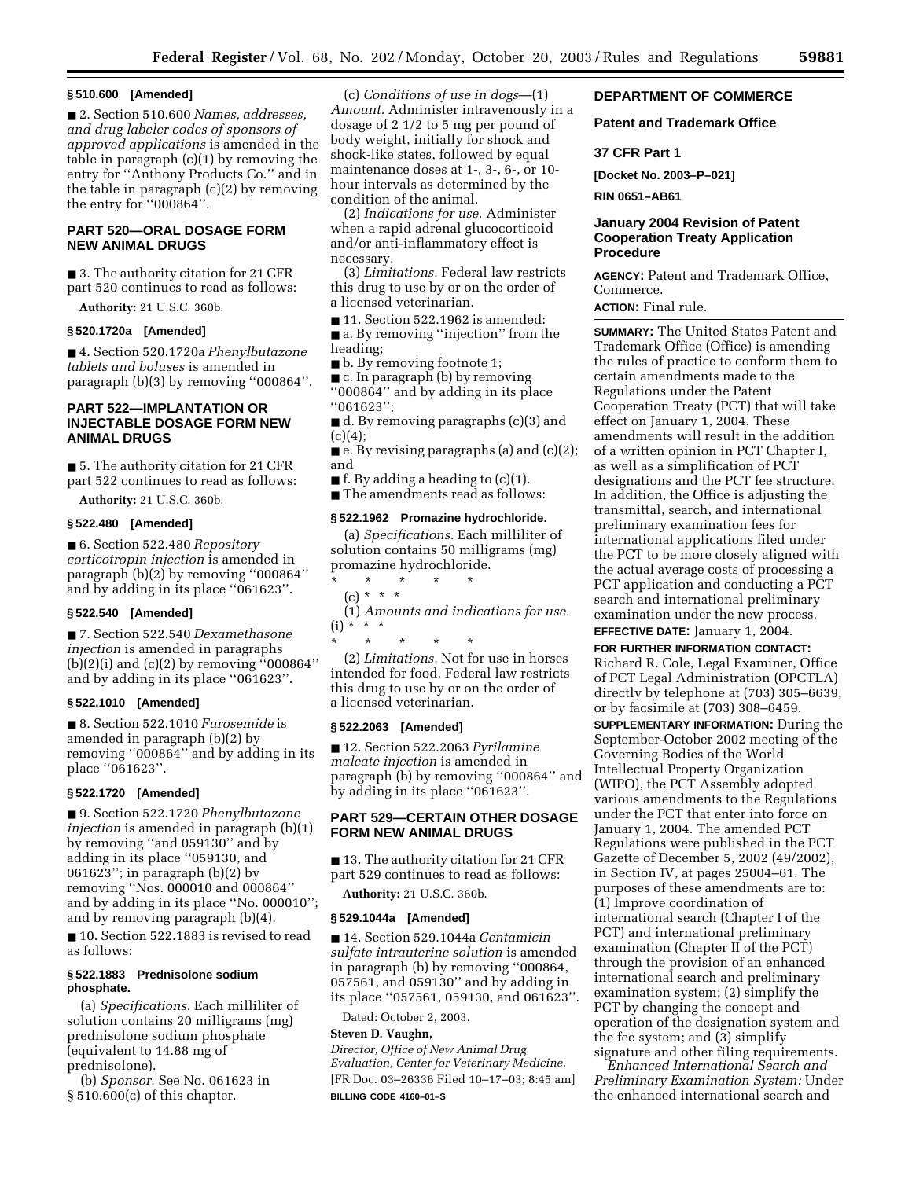#### **§ 510.600 [Amended]**

■ 2. Section 510.600 *Names, addresses, and drug labeler codes of sponsors of approved applications* is amended in the table in paragraph (c)(1) by removing the entry for ''Anthony Products Co.'' and in the table in paragraph (c)(2) by removing the entry for ''000864''.

## **PART 520—ORAL DOSAGE FORM NEW ANIMAL DRUGS**

■ 3. The authority citation for 21 CFR part 520 continues to read as follows:

**Authority:** 21 U.S.C. 360b.

## **§ 520.1720a [Amended]**

■ 4. Section 520.1720a *Phenylbutazone tablets and boluses* is amended in paragraph (b)(3) by removing ''000864''.

## **PART 522—IMPLANTATION OR INJECTABLE DOSAGE FORM NEW ANIMAL DRUGS**

■ 5. The authority citation for 21 CFR part 522 continues to read as follows:

**Authority:** 21 U.S.C. 360b.

### **§ 522.480 [Amended]**

■ 6. Section 522.480 *Repository corticotropin injection* is amended in paragraph (b)(2) by removing ''000864'' and by adding in its place ''061623''.

### **§ 522.540 [Amended]**

■ 7. Section 522.540 *Dexamethasone injection* is amended in paragraphs (b)(2)(i) and (c)(2) by removing ''000864'' and by adding in its place ''061623''.

### **§ 522.1010 [Amended]**

■ 8. Section 522.1010 *Furosemide* is amended in paragraph (b)(2) by removing ''000864'' and by adding in its place ''061623''.

#### **§ 522.1720 [Amended]**

■ 9. Section 522.1720 *Phenylbutazone injection* is amended in paragraph (b)(1) by removing ''and 059130'' and by adding in its place ''059130, and 061623''; in paragraph (b)(2) by removing ''Nos. 000010 and 000864'' and by adding in its place ''No. 000010''; and by removing paragraph (b)(4). ■ 10. Section 522.1883 is revised to read as follows:

### **§ 522.1883 Prednisolone sodium phosphate.**

(a) *Specifications.* Each milliliter of solution contains 20 milligrams (mg) prednisolone sodium phosphate (equivalent to 14.88 mg of prednisolone).

(b) *Sponsor.* See No. 061623 in § 510.600(c) of this chapter.

(c) *Conditions of use in dogs*—(1) *Amount.* Administer intravenously in a dosage of 2 1/2 to 5 mg per pound of body weight, initially for shock and shock-like states, followed by equal maintenance doses at 1-, 3-, 6-, or 10 hour intervals as determined by the condition of the animal.

(2) *Indications for use*. Administer when a rapid adrenal glucocorticoid and/or anti-inflammatory effect is necessary.

(3) *Limitations.* Federal law restricts this drug to use by or on the order of a licensed veterinarian.

■ 11. Section 522.1962 is amended:

■ a. By removing "injection" from the heading;

■ b. By removing footnote 1;

■ c. In paragraph (b) by removing ''000864'' and by adding in its place  $"061623"$ 

■ d. By removing paragraphs (c)(3) and  $(c)(4);$ 

■ e. By revising paragraphs (a) and (c)(2); and

■ f. By adding a heading to (c)(1).

■ The amendments read as follows:

## **§ 522.1962 Promazine hydrochloride.**

(a) *Specifications.* Each milliliter of solution contains 50 milligrams (mg) promazine hydrochloride.

\* \* \* \* \* (c) \* \* \*

(1) *Amounts and indications for use.*  (i) \* \* \*

\* \* \* \* \* (2) *Limitations.* Not for use in horses intended for food. Federal law restricts this drug to use by or on the order of a licensed veterinarian.

### **§ 522.2063 [Amended]**

■ 12. Section 522.2063 *Pyrilamine maleate injection* is amended in paragraph (b) by removing ''000864'' and by adding in its place ''061623''.

## **PART 529—CERTAIN OTHER DOSAGE FORM NEW ANIMAL DRUGS**

■ 13. The authority citation for 21 CFR part 529 continues to read as follows:

**Authority:** 21 U.S.C. 360b.

#### **§ 529.1044a [Amended]**

■ 14. Section 529.1044a *Gentamicin sulfate intrauterine solution* is amended in paragraph (b) by removing ''000864, 057561, and 059130'' and by adding in its place ''057561, 059130, and 061623''.

Dated: October 2, 2003.

# **Steven D. Vaughn,**

*Director, Office of New Animal Drug Evaluation, Center for Veterinary Medicine.*  [FR Doc. 03–26336 Filed 10–17–03; 8:45 am] **BILLING CODE 4160–01–S** 

### **DEPARTMENT OF COMMERCE**

### **Patent and Trademark Office**

### **37 CFR Part 1**

**[Docket No. 2003–P–021]** 

**RIN 0651–AB61** 

### **January 2004 Revision of Patent Cooperation Treaty Application Procedure**

**AGENCY:** Patent and Trademark Office, Commerce.

**ACTION:** Final rule.

**SUMMARY:** The United States Patent and Trademark Office (Office) is amending the rules of practice to conform them to certain amendments made to the Regulations under the Patent Cooperation Treaty (PCT) that will take effect on January 1, 2004. These amendments will result in the addition of a written opinion in PCT Chapter I, as well as a simplification of PCT designations and the PCT fee structure. In addition, the Office is adjusting the transmittal, search, and international preliminary examination fees for international applications filed under the PCT to be more closely aligned with the actual average costs of processing a PCT application and conducting a PCT search and international preliminary examination under the new process.

**EFFECTIVE DATE:** January 1, 2004.

**FOR FURTHER INFORMATION CONTACT:**  Richard R. Cole, Legal Examiner, Office of PCT Legal Administration (OPCTLA) directly by telephone at (703) 305–6639, or by facsimile at (703) 308–6459.

**SUPPLEMENTARY INFORMATION:** During the September-October 2002 meeting of the Governing Bodies of the World Intellectual Property Organization (WIPO), the PCT Assembly adopted various amendments to the Regulations under the PCT that enter into force on January 1, 2004. The amended PCT Regulations were published in the PCT Gazette of December 5, 2002 (49/2002), in Section IV, at pages 25004–61. The purposes of these amendments are to: (1) Improve coordination of international search (Chapter I of the PCT) and international preliminary examination (Chapter II of the PCT) through the provision of an enhanced international search and preliminary examination system; (2) simplify the PCT by changing the concept and operation of the designation system and the fee system; and (3) simplify signature and other filing requirements.

*Enhanced International Search and Preliminary Examination System:* Under the enhanced international search and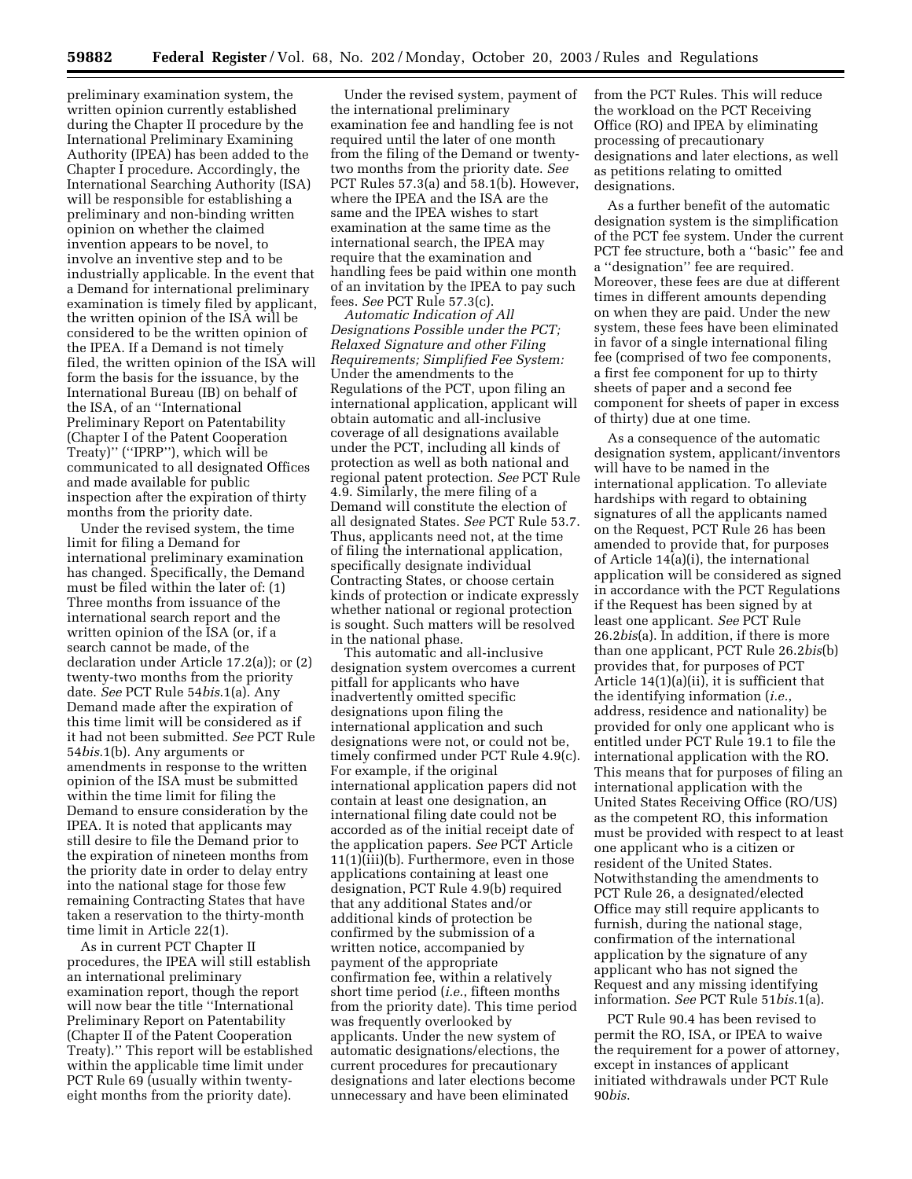preliminary examination system, the written opinion currently established during the Chapter II procedure by the International Preliminary Examining Authority (IPEA) has been added to the Chapter I procedure. Accordingly, the International Searching Authority (ISA) will be responsible for establishing a preliminary and non-binding written opinion on whether the claimed invention appears to be novel, to involve an inventive step and to be industrially applicable. In the event that a Demand for international preliminary examination is timely filed by applicant, the written opinion of the ISA will be considered to be the written opinion of the IPEA. If a Demand is not timely filed, the written opinion of the ISA will form the basis for the issuance, by the International Bureau (IB) on behalf of the ISA, of an ''International Preliminary Report on Patentability (Chapter I of the Patent Cooperation Treaty)'' (''IPRP''), which will be communicated to all designated Offices and made available for public inspection after the expiration of thirty months from the priority date.

Under the revised system, the time limit for filing a Demand for international preliminary examination has changed. Specifically, the Demand must be filed within the later of: (1) Three months from issuance of the international search report and the written opinion of the ISA (or, if a search cannot be made, of the declaration under Article 17.2(a)); or (2) twenty-two months from the priority date. *See* PCT Rule 54*bis*.1(a). Any Demand made after the expiration of this time limit will be considered as if it had not been submitted. *See* PCT Rule 54*bis*.1(b). Any arguments or amendments in response to the written opinion of the ISA must be submitted within the time limit for filing the Demand to ensure consideration by the IPEA. It is noted that applicants may still desire to file the Demand prior to the expiration of nineteen months from the priority date in order to delay entry into the national stage for those few remaining Contracting States that have taken a reservation to the thirty-month time limit in Article 22(1).

As in current PCT Chapter II procedures, the IPEA will still establish an international preliminary examination report, though the report will now bear the title ''International Preliminary Report on Patentability (Chapter II of the Patent Cooperation Treaty).'' This report will be established within the applicable time limit under PCT Rule 69 (usually within twentyeight months from the priority date).

Under the revised system, payment of the international preliminary examination fee and handling fee is not required until the later of one month from the filing of the Demand or twentytwo months from the priority date. *See*  PCT Rules 57.3(a) and 58.1(b). However, where the IPEA and the ISA are the same and the IPEA wishes to start examination at the same time as the international search, the IPEA may require that the examination and handling fees be paid within one month of an invitation by the IPEA to pay such fees. *See* PCT Rule 57.3(c).

*Automatic Indication of All Designations Possible under the PCT; Relaxed Signature and other Filing Requirements; Simplified Fee System:*  Under the amendments to the Regulations of the PCT, upon filing an international application, applicant will obtain automatic and all-inclusive coverage of all designations available under the PCT, including all kinds of protection as well as both national and regional patent protection. *See* PCT Rule 4.9. Similarly, the mere filing of a Demand will constitute the election of all designated States. *See* PCT Rule 53.7. Thus, applicants need not, at the time of filing the international application, specifically designate individual Contracting States, or choose certain kinds of protection or indicate expressly whether national or regional protection is sought. Such matters will be resolved in the national phase.

This automatic and all-inclusive designation system overcomes a current pitfall for applicants who have inadvertently omitted specific designations upon filing the international application and such designations were not, or could not be, timely confirmed under PCT Rule 4.9(c). For example, if the original international application papers did not contain at least one designation, an international filing date could not be accorded as of the initial receipt date of the application papers. *See* PCT Article 11(1)(iii)(b). Furthermore, even in those applications containing at least one designation, PCT Rule 4.9(b) required that any additional States and/or additional kinds of protection be confirmed by the submission of a written notice, accompanied by payment of the appropriate confirmation fee, within a relatively short time period (*i.e.*, fifteen months from the priority date). This time period was frequently overlooked by applicants. Under the new system of automatic designations/elections, the current procedures for precautionary designations and later elections become unnecessary and have been eliminated

from the PCT Rules. This will reduce the workload on the PCT Receiving Office (RO) and IPEA by eliminating processing of precautionary designations and later elections, as well as petitions relating to omitted designations.

As a further benefit of the automatic designation system is the simplification of the PCT fee system. Under the current PCT fee structure, both a ''basic'' fee and a ''designation'' fee are required. Moreover, these fees are due at different times in different amounts depending on when they are paid. Under the new system, these fees have been eliminated in favor of a single international filing fee (comprised of two fee components, a first fee component for up to thirty sheets of paper and a second fee component for sheets of paper in excess of thirty) due at one time.

As a consequence of the automatic designation system, applicant/inventors will have to be named in the international application. To alleviate hardships with regard to obtaining signatures of all the applicants named on the Request, PCT Rule 26 has been amended to provide that, for purposes of Article 14(a)(i), the international application will be considered as signed in accordance with the PCT Regulations if the Request has been signed by at least one applicant. *See* PCT Rule 26.2*bis*(a). In addition, if there is more than one applicant, PCT Rule 26.2*bis*(b) provides that, for purposes of PCT Article 14(1)(a)(ii), it is sufficient that the identifying information (*i.e.*, address, residence and nationality) be provided for only one applicant who is entitled under PCT Rule 19.1 to file the international application with the RO. This means that for purposes of filing an international application with the United States Receiving Office (RO/US) as the competent RO, this information must be provided with respect to at least one applicant who is a citizen or resident of the United States. Notwithstanding the amendments to PCT Rule 26, a designated/elected Office may still require applicants to furnish, during the national stage, confirmation of the international application by the signature of any applicant who has not signed the Request and any missing identifying information. *See* PCT Rule 51*bis*.1(a).

PCT Rule 90.4 has been revised to permit the RO, ISA, or IPEA to waive the requirement for a power of attorney, except in instances of applicant initiated withdrawals under PCT Rule 90*bis*.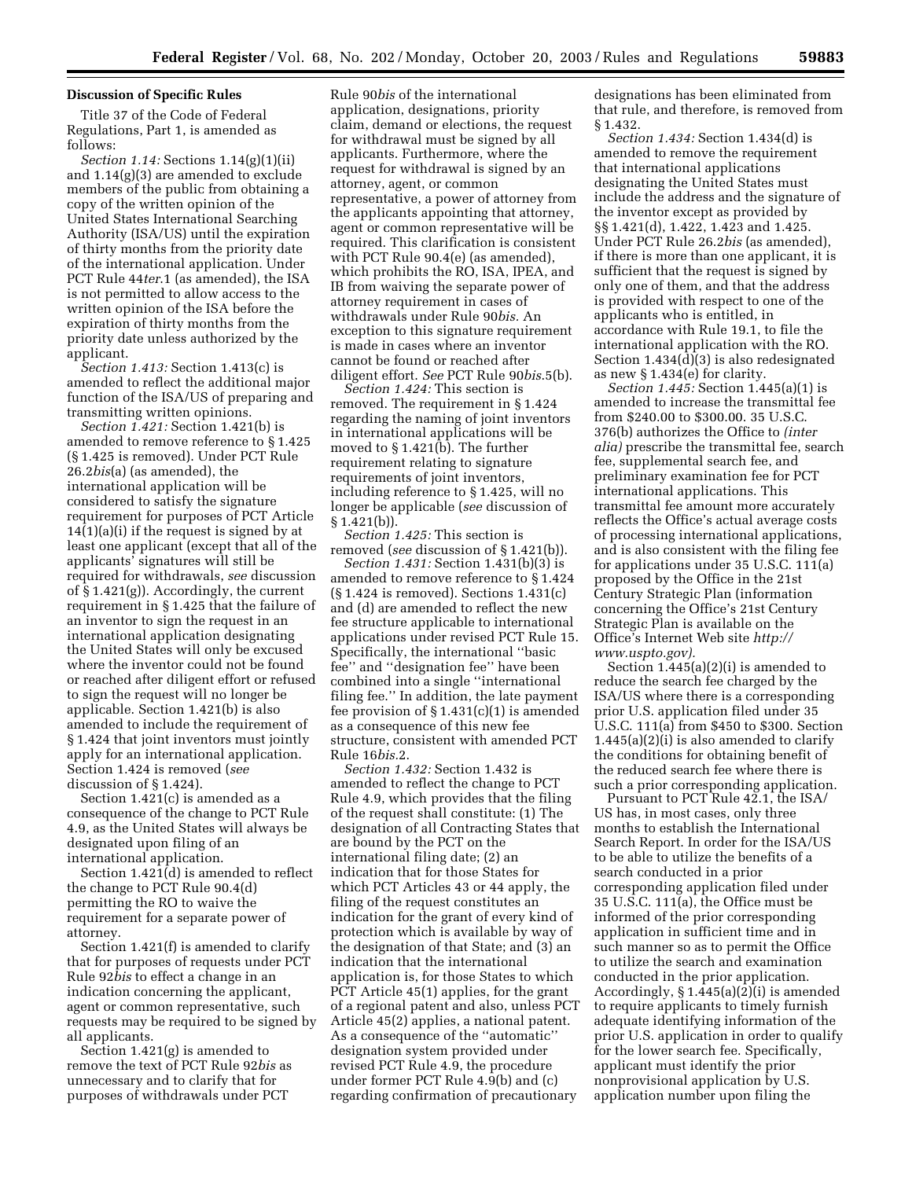#### **Discussion of Specific Rules**

Title 37 of the Code of Federal Regulations, Part 1, is amended as follows:

*Section 1.14:* Sections 1.14(g)(1)(ii) and 1.14(g)(3) are amended to exclude members of the public from obtaining a copy of the written opinion of the United States International Searching Authority (ISA/US) until the expiration of thirty months from the priority date of the international application. Under PCT Rule 44*ter*.1 (as amended), the ISA is not permitted to allow access to the written opinion of the ISA before the expiration of thirty months from the priority date unless authorized by the applicant.

*Section 1.413:* Section 1.413(c) is amended to reflect the additional major function of the ISA/US of preparing and transmitting written opinions.

*Section 1.421:* Section 1.421(b) is amended to remove reference to § 1.425 (§ 1.425 is removed). Under PCT Rule 26.2*bis*(a) (as amended), the international application will be considered to satisfy the signature requirement for purposes of PCT Article 14(1)(a)(i) if the request is signed by at least one applicant (except that all of the applicants' signatures will still be required for withdrawals, *see* discussion of § 1.421(g)). Accordingly, the current requirement in § 1.425 that the failure of an inventor to sign the request in an international application designating the United States will only be excused where the inventor could not be found or reached after diligent effort or refused to sign the request will no longer be applicable. Section 1.421(b) is also amended to include the requirement of § 1.424 that joint inventors must jointly apply for an international application. Section 1.424 is removed (*see*  discussion of § 1.424).

Section 1.421(c) is amended as a consequence of the change to PCT Rule 4.9, as the United States will always be designated upon filing of an international application.

Section 1.421(d) is amended to reflect the change to PCT Rule 90.4(d) permitting the RO to waive the requirement for a separate power of attorney.

Section 1.421(f) is amended to clarify that for purposes of requests under PCT Rule 92*bis* to effect a change in an indication concerning the applicant, agent or common representative, such requests may be required to be signed by all applicants.

Section 1.421(g) is amended to remove the text of PCT Rule 92*bis* as unnecessary and to clarify that for purposes of withdrawals under PCT

Rule 90*bis* of the international application, designations, priority claim, demand or elections, the request for withdrawal must be signed by all applicants. Furthermore, where the request for withdrawal is signed by an attorney, agent, or common representative, a power of attorney from the applicants appointing that attorney, agent or common representative will be required. This clarification is consistent with PCT Rule 90.4(e) (as amended), which prohibits the RO, ISA, IPEA, and IB from waiving the separate power of attorney requirement in cases of withdrawals under Rule 90*bis.* An exception to this signature requirement is made in cases where an inventor cannot be found or reached after diligent effort. *See* PCT Rule 90*bis*.5(b).

*Section 1.424:* This section is removed. The requirement in § 1.424 regarding the naming of joint inventors in international applications will be moved to § 1.421(b). The further requirement relating to signature requirements of joint inventors, including reference to § 1.425, will no longer be applicable (*see* discussion of § 1.421(b)).

*Section 1.425:* This section is removed (*see* discussion of § 1.421(b)).

*Section 1.431:* Section 1.431(b)(3) is amended to remove reference to § 1.424 (§ 1.424 is removed). Sections 1.431(c) and (d) are amended to reflect the new fee structure applicable to international applications under revised PCT Rule 15. Specifically, the international ''basic fee'' and ''designation fee'' have been combined into a single ''international filing fee.'' In addition, the late payment fee provision of  $\S 1.431(c)(1)$  is amended as a consequence of this new fee structure, consistent with amended PCT Rule 16*bis.*2.

*Section 1.432:* Section 1.432 is amended to reflect the change to PCT Rule 4.9, which provides that the filing of the request shall constitute: (1) The designation of all Contracting States that are bound by the PCT on the international filing date; (2) an indication that for those States for which PCT Articles 43 or 44 apply, the filing of the request constitutes an indication for the grant of every kind of protection which is available by way of the designation of that State; and (3) an indication that the international application is, for those States to which PCT Article 45(1) applies, for the grant of a regional patent and also, unless PCT Article 45(2) applies, a national patent. As a consequence of the ''automatic'' designation system provided under revised PCT Rule 4.9, the procedure under former PCT Rule 4.9(b) and (c) regarding confirmation of precautionary

designations has been eliminated from that rule, and therefore, is removed from § 1.432.

*Section 1.434:* Section 1.434(d) is amended to remove the requirement that international applications designating the United States must include the address and the signature of the inventor except as provided by §§ 1.421(d), 1.422, 1.423 and 1.425. Under PCT Rule 26.2*bis* (as amended), if there is more than one applicant, it is sufficient that the request is signed by only one of them, and that the address is provided with respect to one of the applicants who is entitled, in accordance with Rule 19.1, to file the international application with the RO. Section 1.434(d)(3) is also redesignated as new § 1.434(e) for clarity.

*Section 1.445:* Section 1.445(a)(1) is amended to increase the transmittal fee from \$240.00 to \$300.00. 35 U.S.C. 376(b) authorizes the Office to *(inter alia)* prescribe the transmittal fee, search fee, supplemental search fee, and preliminary examination fee for PCT international applications. This transmittal fee amount more accurately reflects the Office's actual average costs of processing international applications, and is also consistent with the filing fee for applications under 35 U.S.C. 111(a) proposed by the Office in the 21st Century Strategic Plan (information concerning the Office's 21st Century Strategic Plan is available on the [Office's Internet Web site](http://www.uspto.gov) *http:// www.uspto.gov).* 

Section 1.445(a)(2)(i) is amended to reduce the search fee charged by the ISA/US where there is a corresponding prior U.S. application filed under 35 U.S.C. 111(a) from \$450 to \$300. Section 1.445(a)(2)(i) is also amended to clarify the conditions for obtaining benefit of the reduced search fee where there is such a prior corresponding application.

Pursuant to PCT Rule 42.1, the ISA/ US has, in most cases, only three months to establish the International Search Report. In order for the ISA/US to be able to utilize the benefits of a search conducted in a prior corresponding application filed under 35 U.S.C. 111(a), the Office must be informed of the prior corresponding application in sufficient time and in such manner so as to permit the Office to utilize the search and examination conducted in the prior application. Accordingly, § 1.445(a)(2)(i) is amended to require applicants to timely furnish adequate identifying information of the prior U.S. application in order to qualify for the lower search fee. Specifically, applicant must identify the prior nonprovisional application by U.S. application number upon filing the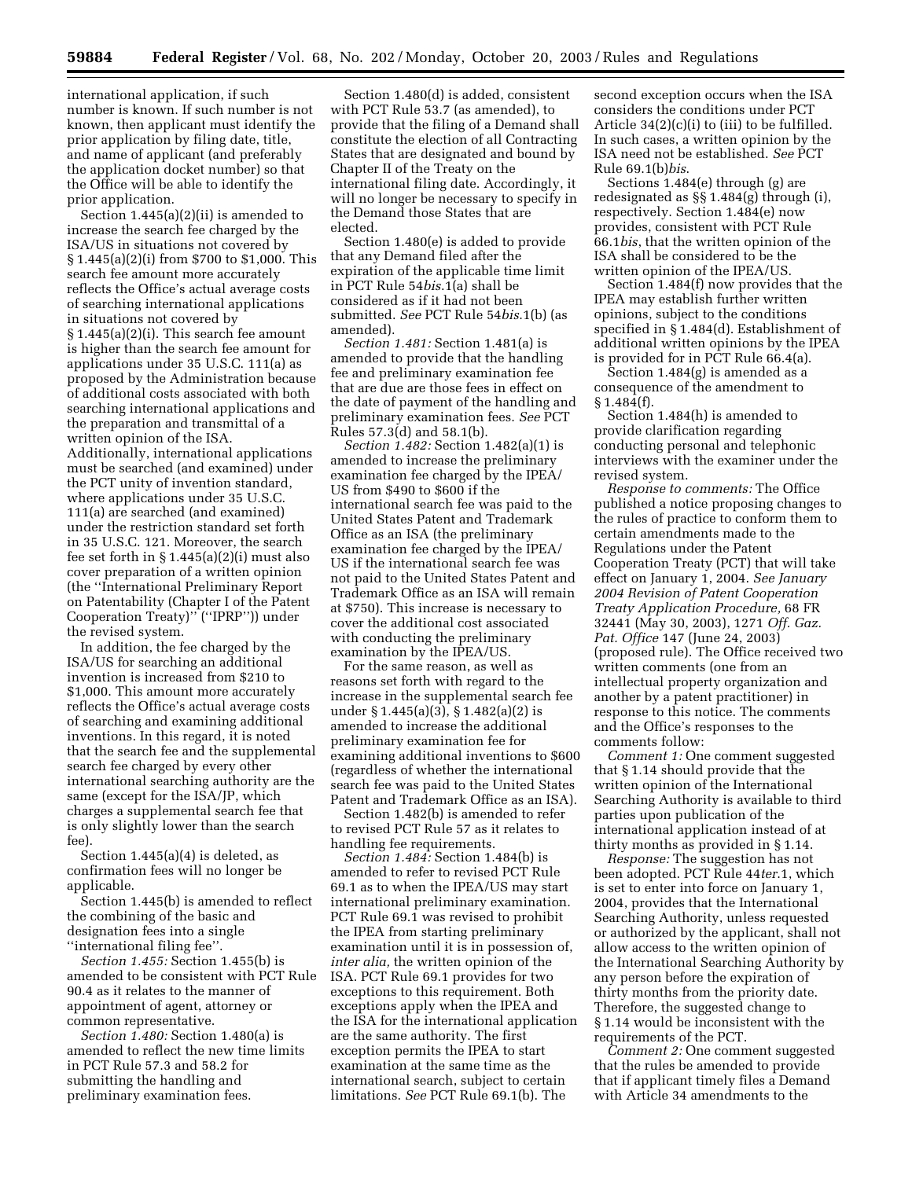international application, if such number is known. If such number is not known, then applicant must identify the prior application by filing date, title, and name of applicant (and preferably the application docket number) so that the Office will be able to identify the prior application.

Section 1.445(a)(2)(ii) is amended to increase the search fee charged by the ISA/US in situations not covered by § 1.445(a)(2)(i) from \$700 to \$1,000. This search fee amount more accurately reflects the Office's actual average costs of searching international applications in situations not covered by § 1.445(a)(2)(i). This search fee amount is higher than the search fee amount for applications under 35 U.S.C. 111(a) as proposed by the Administration because of additional costs associated with both searching international applications and the preparation and transmittal of a written opinion of the ISA. Additionally, international applications must be searched (and examined) under the PCT unity of invention standard, where applications under 35 U.S.C. 111(a) are searched (and examined) under the restriction standard set forth in 35 U.S.C. 121. Moreover, the search fee set forth in  $\S 1.445(a)(2)(i)$  must also cover preparation of a written opinion (the ''International Preliminary Report on Patentability (Chapter I of the Patent Cooperation Treaty)'' (''IPRP'')) under the revised system.

In addition, the fee charged by the ISA/US for searching an additional invention is increased from \$210 to \$1,000. This amount more accurately reflects the Office's actual average costs of searching and examining additional inventions. In this regard, it is noted that the search fee and the supplemental search fee charged by every other international searching authority are the same (except for the ISA/JP, which charges a supplemental search fee that is only slightly lower than the search fee).

Section 1.445(a)(4) is deleted, as confirmation fees will no longer be applicable.

Section 1.445(b) is amended to reflect the combining of the basic and designation fees into a single ''international filing fee''.

*Section 1.455:* Section 1.455(b) is amended to be consistent with PCT Rule 90.4 as it relates to the manner of appointment of agent, attorney or common representative.

*Section 1.480:* Section 1.480(a) is amended to reflect the new time limits in PCT Rule 57.3 and 58.2 for submitting the handling and preliminary examination fees.

Section 1.480(d) is added, consistent with PCT Rule 53.7 (as amended), to provide that the filing of a Demand shall constitute the election of all Contracting States that are designated and bound by Chapter II of the Treaty on the international filing date. Accordingly, it will no longer be necessary to specify in the Demand those States that are elected.

Section 1.480(e) is added to provide that any Demand filed after the expiration of the applicable time limit in PCT Rule 54*bis*.1(a) shall be considered as if it had not been submitted. *See* PCT Rule 54*bis*.1(b) (as amended).

*Section 1.481:* Section 1.481(a) is amended to provide that the handling fee and preliminary examination fee that are due are those fees in effect on the date of payment of the handling and preliminary examination fees. *See* PCT Rules 57.3(d) and 58.1(b).

*Section 1.482:* Section 1.482(a)(1) is amended to increase the preliminary examination fee charged by the IPEA/ US from \$490 to \$600 if the international search fee was paid to the United States Patent and Trademark Office as an ISA (the preliminary examination fee charged by the IPEA/ US if the international search fee was not paid to the United States Patent and Trademark Office as an ISA will remain at \$750). This increase is necessary to cover the additional cost associated with conducting the preliminary examination by the IPEA/US.

For the same reason, as well as reasons set forth with regard to the increase in the supplemental search fee under § 1.445(a)(3), § 1.482(a)(2) is amended to increase the additional preliminary examination fee for examining additional inventions to \$600 (regardless of whether the international search fee was paid to the United States Patent and Trademark Office as an ISA).

Section 1.482(b) is amended to refer to revised PCT Rule 57 as it relates to handling fee requirements.

*Section 1.484:* Section 1.484(b) is amended to refer to revised PCT Rule 69.1 as to when the IPEA/US may start international preliminary examination. PCT Rule 69.1 was revised to prohibit the IPEA from starting preliminary examination until it is in possession of, *inter alia,* the written opinion of the ISA. PCT Rule 69.1 provides for two exceptions to this requirement. Both exceptions apply when the IPEA and the ISA for the international application are the same authority. The first exception permits the IPEA to start examination at the same time as the international search, subject to certain limitations. *See* PCT Rule 69.1(b). The

second exception occurs when the ISA considers the conditions under PCT Article  $34(2)(c)(i)$  to (iii) to be fulfilled. In such cases, a written opinion by the ISA need not be established. *See* PCT Rule 69.1(b)*bis*.

Sections 1.484(e) through (g) are redesignated as §§ 1.484(g) through (i), respectively. Section 1.484(e) now provides, consistent with PCT Rule 66.1*bis*, that the written opinion of the ISA shall be considered to be the written opinion of the IPEA/US.

Section 1.484(f) now provides that the IPEA may establish further written opinions, subject to the conditions specified in § 1.484(d). Establishment of additional written opinions by the IPEA is provided for in PCT Rule 66.4(a).

Section 1.484(g) is amended as a consequence of the amendment to § 1.484(f).

Section 1.484(h) is amended to provide clarification regarding conducting personal and telephonic interviews with the examiner under the revised system.

*Response to comments:* The Office published a notice proposing changes to the rules of practice to conform them to certain amendments made to the Regulations under the Patent Cooperation Treaty (PCT) that will take effect on January 1, 2004. *See January 2004 Revision of Patent Cooperation Treaty Application Procedure,* 68 FR 32441 (May 30, 2003), 1271 *Off. Gaz. Pat. Office* 147 (June 24, 2003) (proposed rule). The Office received two written comments (one from an intellectual property organization and another by a patent practitioner) in response to this notice. The comments and the Office's responses to the comments follow:

*Comment 1:* One comment suggested that § 1.14 should provide that the written opinion of the International Searching Authority is available to third parties upon publication of the international application instead of at thirty months as provided in § 1.14.

*Response:* The suggestion has not been adopted. PCT Rule 44*ter*.1, which is set to enter into force on January 1, 2004, provides that the International Searching Authority, unless requested or authorized by the applicant, shall not allow access to the written opinion of the International Searching Authority by any person before the expiration of thirty months from the priority date. Therefore, the suggested change to § 1.14 would be inconsistent with the requirements of the PCT.

*Comment 2:* One comment suggested that the rules be amended to provide that if applicant timely files a Demand with Article 34 amendments to the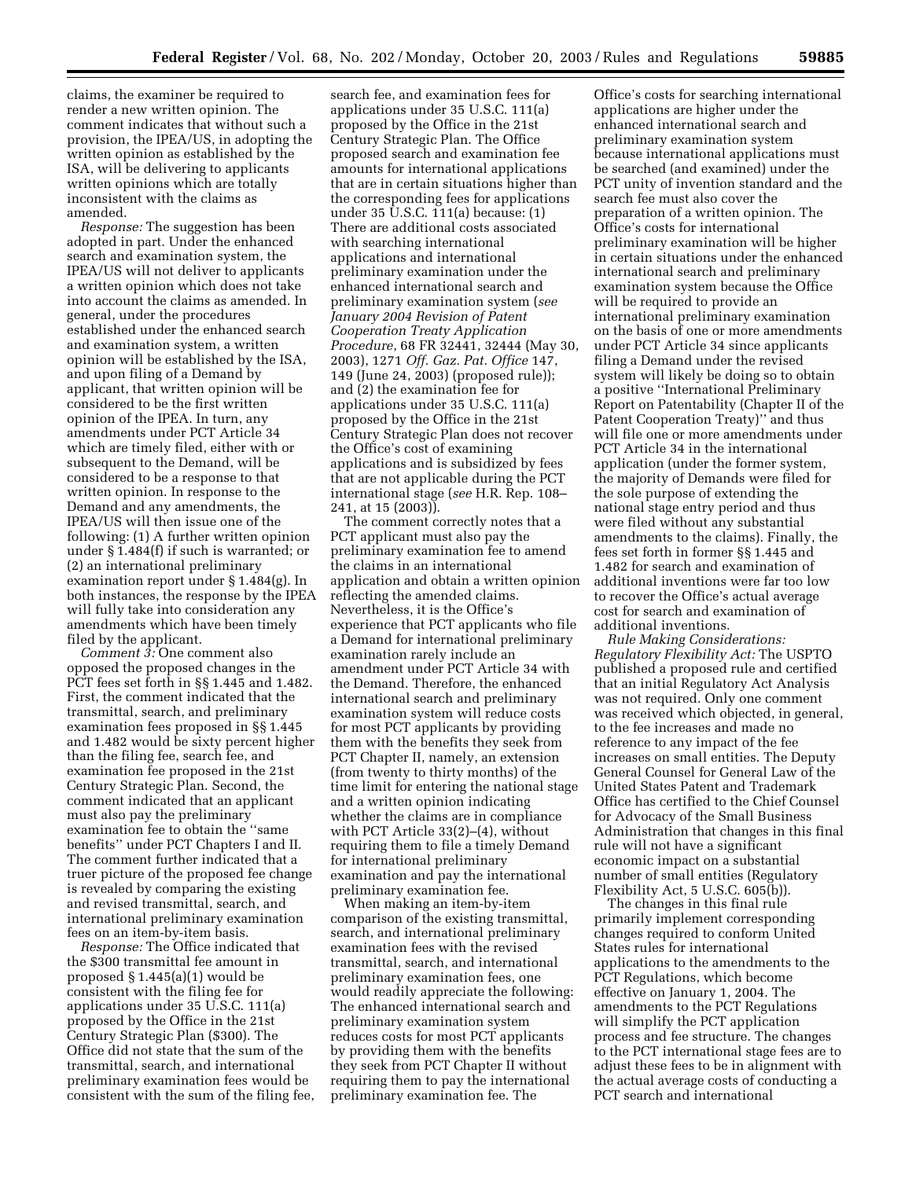claims, the examiner be required to render a new written opinion. The comment indicates that without such a provision, the IPEA/US, in adopting the written opinion as established by the ISA, will be delivering to applicants written opinions which are totally inconsistent with the claims as amended.

*Response:* The suggestion has been adopted in part. Under the enhanced search and examination system, the IPEA/US will not deliver to applicants a written opinion which does not take into account the claims as amended. In general, under the procedures established under the enhanced search and examination system, a written opinion will be established by the ISA, and upon filing of a Demand by applicant, that written opinion will be considered to be the first written opinion of the IPEA. In turn, any amendments under PCT Article 34 which are timely filed, either with or subsequent to the Demand, will be considered to be a response to that written opinion. In response to the Demand and any amendments, the IPEA/US will then issue one of the following: (1) A further written opinion under § 1.484(f) if such is warranted; or (2) an international preliminary examination report under § 1.484(g). In both instances, the response by the IPEA will fully take into consideration any amendments which have been timely filed by the applicant.

*Comment 3:* One comment also opposed the proposed changes in the PCT fees set forth in §§ 1.445 and 1.482. First, the comment indicated that the transmittal, search, and preliminary examination fees proposed in §§ 1.445 and 1.482 would be sixty percent higher than the filing fee, search fee, and examination fee proposed in the 21st Century Strategic Plan. Second, the comment indicated that an applicant must also pay the preliminary examination fee to obtain the ''same benefits'' under PCT Chapters I and II. The comment further indicated that a truer picture of the proposed fee change is revealed by comparing the existing and revised transmittal, search, and international preliminary examination fees on an item-by-item basis.

*Response:* The Office indicated that the \$300 transmittal fee amount in proposed § 1.445(a)(1) would be consistent with the filing fee for applications under 35 U.S.C. 111(a) proposed by the Office in the 21st Century Strategic Plan (\$300). The Office did not state that the sum of the transmittal, search, and international preliminary examination fees would be consistent with the sum of the filing fee,

search fee, and examination fees for applications under 35 U.S.C. 111(a) proposed by the Office in the 21st Century Strategic Plan. The Office proposed search and examination fee amounts for international applications that are in certain situations higher than the corresponding fees for applications under 35 U.S.C. 111(a) because: (1) There are additional costs associated with searching international applications and international preliminary examination under the enhanced international search and preliminary examination system (*see January 2004 Revision of Patent Cooperation Treaty Application Procedure*, 68 FR 32441, 32444 (May 30, 2003), 1271 *Off. Gaz. Pat. Office* 147, 149 (June 24, 2003) (proposed rule)); and (2) the examination fee for applications under 35 U.S.C. 111(a) proposed by the Office in the 21st Century Strategic Plan does not recover the Office's cost of examining applications and is subsidized by fees that are not applicable during the PCT international stage (*see* H.R. Rep. 108– 241, at 15 (2003)).

The comment correctly notes that a PCT applicant must also pay the preliminary examination fee to amend the claims in an international application and obtain a written opinion reflecting the amended claims. Nevertheless, it is the Office's experience that PCT applicants who file a Demand for international preliminary examination rarely include an amendment under PCT Article 34 with the Demand. Therefore, the enhanced international search and preliminary examination system will reduce costs for most PCT applicants by providing them with the benefits they seek from PCT Chapter II, namely, an extension (from twenty to thirty months) of the time limit for entering the national stage and a written opinion indicating whether the claims are in compliance with PCT Article 33(2)–(4), without requiring them to file a timely Demand for international preliminary examination and pay the international preliminary examination fee.

When making an item-by-item comparison of the existing transmittal, search, and international preliminary examination fees with the revised transmittal, search, and international preliminary examination fees, one would readily appreciate the following: The enhanced international search and preliminary examination system reduces costs for most PCT applicants by providing them with the benefits they seek from PCT Chapter II without requiring them to pay the international preliminary examination fee. The

Office's costs for searching international applications are higher under the enhanced international search and preliminary examination system because international applications must be searched (and examined) under the PCT unity of invention standard and the search fee must also cover the preparation of a written opinion. The Office's costs for international preliminary examination will be higher in certain situations under the enhanced international search and preliminary examination system because the Office will be required to provide an international preliminary examination on the basis of one or more amendments under PCT Article 34 since applicants filing a Demand under the revised system will likely be doing so to obtain a positive ''International Preliminary Report on Patentability (Chapter II of the Patent Cooperation Treaty)'' and thus will file one or more amendments under PCT Article 34 in the international application (under the former system, the majority of Demands were filed for the sole purpose of extending the national stage entry period and thus were filed without any substantial amendments to the claims). Finally, the fees set forth in former §§ 1.445 and 1.482 for search and examination of additional inventions were far too low to recover the Office's actual average cost for search and examination of additional inventions.

*Rule Making Considerations: Regulatory Flexibility Act:* The USPTO published a proposed rule and certified that an initial Regulatory Act Analysis was not required. Only one comment was received which objected, in general, to the fee increases and made no reference to any impact of the fee increases on small entities. The Deputy General Counsel for General Law of the United States Patent and Trademark Office has certified to the Chief Counsel for Advocacy of the Small Business Administration that changes in this final rule will not have a significant economic impact on a substantial number of small entities (Regulatory Flexibility Act, 5 U.S.C. 605(b)).

The changes in this final rule primarily implement corresponding changes required to conform United States rules for international applications to the amendments to the PCT Regulations, which become effective on January 1, 2004. The amendments to the PCT Regulations will simplify the PCT application process and fee structure. The changes to the PCT international stage fees are to adjust these fees to be in alignment with the actual average costs of conducting a PCT search and international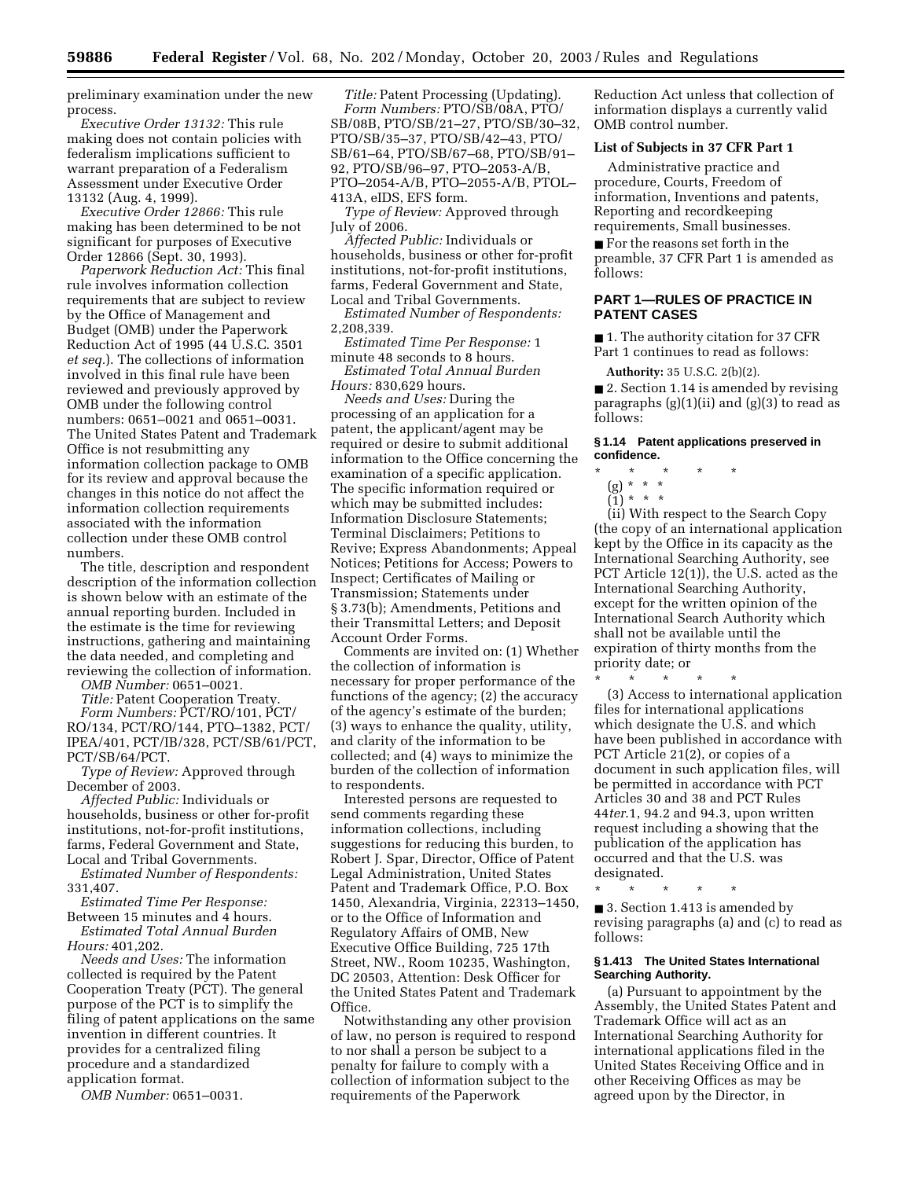preliminary examination under the new process.

*Executive Order 13132:* This rule making does not contain policies with federalism implications sufficient to warrant preparation of a Federalism Assessment under Executive Order 13132 (Aug. 4, 1999).

*Executive Order 12866:* This rule making has been determined to be not significant for purposes of Executive Order 12866 (Sept. 30, 1993).

*Paperwork Reduction Act:* This final rule involves information collection requirements that are subject to review by the Office of Management and Budget (OMB) under the Paperwork Reduction Act of 1995 (44 U.S.C. 3501 *et seq.*). The collections of information involved in this final rule have been reviewed and previously approved by OMB under the following control numbers: 0651–0021 and 0651–0031. The United States Patent and Trademark Office is not resubmitting any information collection package to OMB for its review and approval because the changes in this notice do not affect the information collection requirements associated with the information collection under these OMB control numbers.

The title, description and respondent description of the information collection is shown below with an estimate of the annual reporting burden. Included in the estimate is the time for reviewing instructions, gathering and maintaining the data needed, and completing and reviewing the collection of information.

*OMB Number:* 0651–0021.

*Title:* Patent Cooperation Treaty.

*Form Numbers:* PCT/RO/101, PCT/ RO/134, PCT/RO/144, PTO–1382, PCT/ IPEA/401, PCT/IB/328, PCT/SB/61/PCT, PCT/SB/64/PCT.

*Type of Review:* Approved through December of 2003.

*Affected Public:* Individuals or households, business or other for-profit institutions, not-for-profit institutions, farms, Federal Government and State, Local and Tribal Governments.

*Estimated Number of Respondents:*  331,407.

*Estimated Time Per Response:* 

Between 15 minutes and 4 hours. *Estimated Total Annual Burden Hours:* 401,202.

*Needs and Uses:* The information collected is required by the Patent Cooperation Treaty (PCT). The general purpose of the PCT is to simplify the filing of patent applications on the same invention in different countries. It provides for a centralized filing procedure and a standardized application format.

*OMB Number:* 0651–0031.

*Title:* Patent Processing (Updating). *Form Numbers:* PTO/SB/08A, PTO/ SB/08B, PTO/SB/21–27, PTO/SB/30–32, PTO/SB/35–37, PTO/SB/42–43, PTO/ SB/61–64, PTO/SB/67–68, PTO/SB/91– 92, PTO/SB/96–97, PTO–2053-A/B, PTO–2054-A/B, PTO–2055-A/B, PTOL– 413A, eIDS, EFS form.

*Type of Review:* Approved through July of 2006.

*Affected Public:* Individuals or households, business or other for-profit institutions, not-for-profit institutions, farms, Federal Government and State, Local and Tribal Governments.

*Estimated Number of Respondents:*  2,208,339.

*Estimated Time Per Response:* 1 minute 48 seconds to 8 hours.

*Estimated Total Annual Burden Hours:* 830,629 hours.

*Needs and Uses:* During the processing of an application for a patent, the applicant/agent may be required or desire to submit additional information to the Office concerning the examination of a specific application. The specific information required or which may be submitted includes: Information Disclosure Statements; Terminal Disclaimers; Petitions to Revive; Express Abandonments; Appeal Notices; Petitions for Access; Powers to Inspect; Certificates of Mailing or Transmission; Statements under § 3.73(b); Amendments, Petitions and their Transmittal Letters; and Deposit Account Order Forms.

Comments are invited on: (1) Whether the collection of information is necessary for proper performance of the functions of the agency; (2) the accuracy of the agency's estimate of the burden; (3) ways to enhance the quality, utility, and clarity of the information to be collected; and (4) ways to minimize the burden of the collection of information to respondents.

Interested persons are requested to send comments regarding these information collections, including suggestions for reducing this burden, to Robert J. Spar, Director, Office of Patent Legal Administration, United States Patent and Trademark Office, P.O. Box 1450, Alexandria, Virginia, 22313–1450, or to the Office of Information and Regulatory Affairs of OMB, New Executive Office Building, 725 17th Street, NW., Room 10235, Washington, DC 20503, Attention: Desk Officer for the United States Patent and Trademark Office.

Notwithstanding any other provision of law, no person is required to respond to nor shall a person be subject to a penalty for failure to comply with a collection of information subject to the requirements of the Paperwork

Reduction Act unless that collection of information displays a currently valid OMB control number.

### **List of Subjects in 37 CFR Part 1**

Administrative practice and procedure, Courts, Freedom of information, Inventions and patents, Reporting and recordkeeping requirements, Small businesses.

■ For the reasons set forth in the preamble, 37 CFR Part 1 is amended as follows:

## **PART 1—RULES OF PRACTICE IN PATENT CASES**

■ 1. The authority citation for 37 CFR Part 1 continues to read as follows:

**Authority:** 35 U.S.C. 2(b)(2).

■ 2. Section 1.14 is amended by revising paragraphs (g)(1)(ii) and (g)(3) to read as follows:

### **§ 1.14 Patent applications preserved in confidence.**

\* \* \* \* \*

(g) \* \* \* (1) \* \* \*

(ii) With respect to the Search Copy (the copy of an international application kept by the Office in its capacity as the International Searching Authority, see PCT Article 12(1)), the U.S. acted as the International Searching Authority, except for the written opinion of the International Search Authority which shall not be available until the expiration of thirty months from the priority date; or

\* \* \* \* \*

(3) Access to international application files for international applications which designate the U.S. and which have been published in accordance with PCT Article 21(2), or copies of a document in such application files, will be permitted in accordance with PCT Articles 30 and 38 and PCT Rules 44*ter*.1, 94.2 and 94.3, upon written request including a showing that the publication of the application has occurred and that the U.S. was designated.

\* \* \* \* \*

■ 3. Section 1.413 is amended by revising paragraphs (a) and (c) to read as follows:

#### **§ 1.413 The United States International Searching Authority.**

(a) Pursuant to appointment by the Assembly, the United States Patent and Trademark Office will act as an International Searching Authority for international applications filed in the United States Receiving Office and in other Receiving Offices as may be agreed upon by the Director, in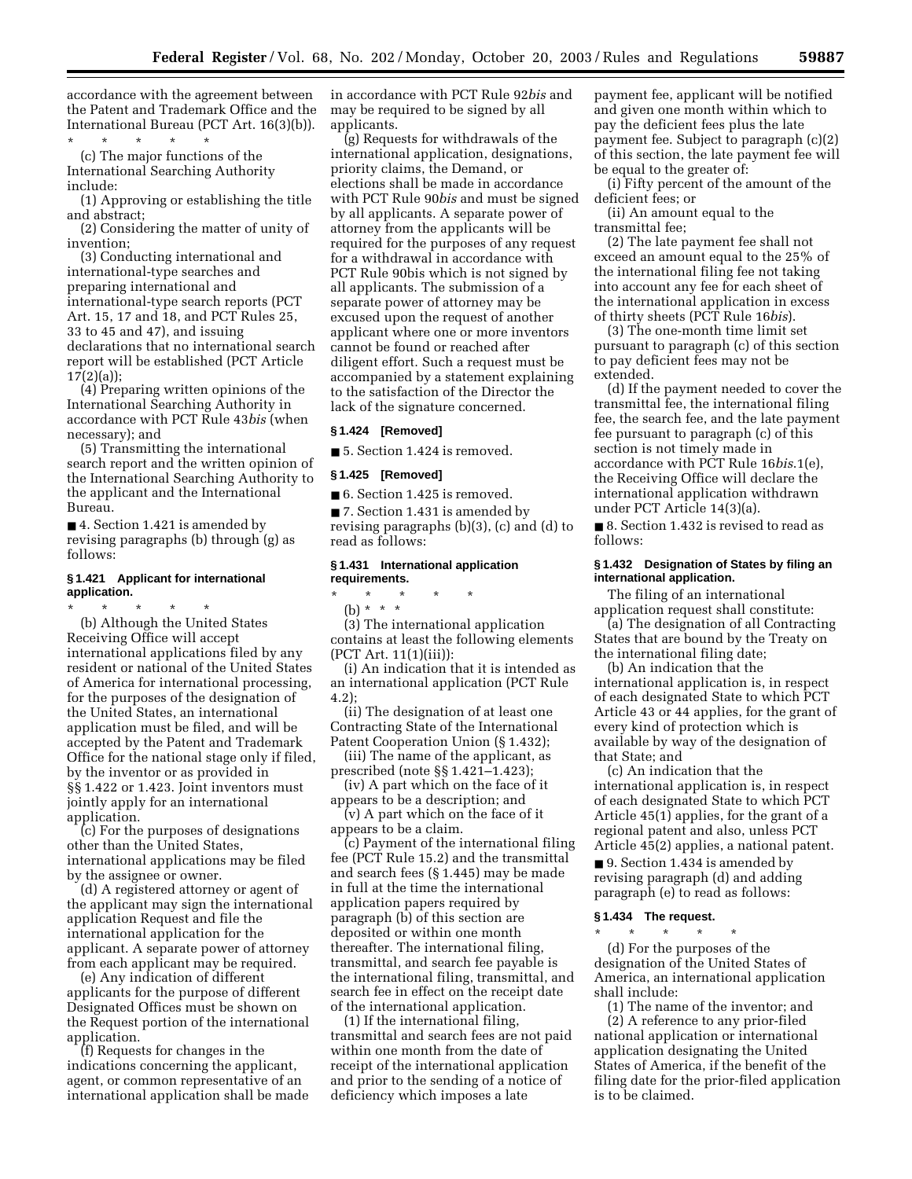accordance with the agreement between the Patent and Trademark Office and the International Bureau (PCT Art. 16(3)(b)).

\* \* \* \* \* (c) The major functions of the International Searching Authority include:

(1) Approving or establishing the title and abstract;

(2) Considering the matter of unity of invention;

(3) Conducting international and international-type searches and preparing international and international-type search reports (PCT Art. 15, 17 and 18, and PCT Rules 25, 33 to 45 and 47), and issuing declarations that no international search report will be established (PCT Article 17(2)(a));

(4) Preparing written opinions of the International Searching Authority in accordance with PCT Rule 43*bis* (when necessary); and

(5) Transmitting the international search report and the written opinion of the International Searching Authority to the applicant and the International Bureau.

■ 4. Section 1.421 is amended by revising paragraphs (b) through (g) as follows:

## **§ 1.421 Applicant for international application.**

\* \* \* \* \* (b) Although the United States Receiving Office will accept international applications filed by any resident or national of the United States of America for international processing, for the purposes of the designation of the United States, an international application must be filed, and will be accepted by the Patent and Trademark Office for the national stage only if filed, by the inventor or as provided in §§ 1.422 or 1.423. Joint inventors must jointly apply for an international application.

(c) For the purposes of designations other than the United States, international applications may be filed by the assignee or owner.

(d) A registered attorney or agent of the applicant may sign the international application Request and file the international application for the applicant. A separate power of attorney from each applicant may be required.

(e) Any indication of different applicants for the purpose of different Designated Offices must be shown on the Request portion of the international application.

(f) Requests for changes in the indications concerning the applicant, agent, or common representative of an international application shall be made in accordance with PCT Rule 92*bis* and may be required to be signed by all applicants.

(g) Requests for withdrawals of the international application, designations, priority claims, the Demand, or elections shall be made in accordance with PCT Rule 90*bis* and must be signed by all applicants. A separate power of attorney from the applicants will be required for the purposes of any request for a withdrawal in accordance with PCT Rule 90bis which is not signed by all applicants. The submission of a separate power of attorney may be excused upon the request of another applicant where one or more inventors cannot be found or reached after diligent effort. Such a request must be accompanied by a statement explaining to the satisfaction of the Director the lack of the signature concerned.

### **§ 1.424 [Removed]**

■ 5. Section 1.424 is removed.

#### **§ 1.425 [Removed]**

■ 6. Section 1.425 is removed.

■ 7. Section 1.431 is amended by revising paragraphs (b)(3), (c) and (d) to read as follows:

## **§ 1.431 International application requirements.**

\* \* \* \* \*

(b) \* \* \* (3) The international application contains at least the following elements (PCT Art. 11(1)(iii)):

(i) An indication that it is intended as an international application (PCT Rule 4.2);

(ii) The designation of at least one Contracting State of the International Patent Cooperation Union (§ 1.432);

(iii) The name of the applicant, as prescribed (note §§ 1.421–1.423);

(iv) A part which on the face of it appears to be a description; and

(v) A part which on the face of it appears to be a claim.

(c) Payment of the international filing fee (PCT Rule 15.2) and the transmittal and search fees (§ 1.445) may be made in full at the time the international application papers required by paragraph (b) of this section are deposited or within one month thereafter. The international filing, transmittal, and search fee payable is the international filing, transmittal, and search fee in effect on the receipt date of the international application.

(1) If the international filing, transmittal and search fees are not paid within one month from the date of receipt of the international application and prior to the sending of a notice of deficiency which imposes a late

payment fee, applicant will be notified and given one month within which to pay the deficient fees plus the late payment fee. Subject to paragraph (c)(2) of this section, the late payment fee will be equal to the greater of:

(i) Fifty percent of the amount of the deficient fees; or

(ii) An amount equal to the transmittal fee;

(2) The late payment fee shall not exceed an amount equal to the 25% of the international filing fee not taking into account any fee for each sheet of the international application in excess of thirty sheets (PCT Rule 16*bis*).

(3) The one-month time limit set pursuant to paragraph (c) of this section to pay deficient fees may not be extended.

(d) If the payment needed to cover the transmittal fee, the international filing fee, the search fee, and the late payment fee pursuant to paragraph (c) of this section is not timely made in accordance with PCT Rule 16*bis*.1(e), the Receiving Office will declare the international application withdrawn under PCT Article 14(3)(a).

■ 8. Section 1.432 is revised to read as follows:

### **§ 1.432 Designation of States by filing an international application.**

The filing of an international application request shall constitute:

(a) The designation of all Contracting States that are bound by the Treaty on the international filing date;

(b) An indication that the international application is, in respect of each designated State to which PCT Article 43 or 44 applies, for the grant of every kind of protection which is available by way of the designation of that State; and

(c) An indication that the international application is, in respect of each designated State to which PCT Article 45(1) applies, for the grant of a regional patent and also, unless PCT Article 45(2) applies, a national patent.

■ 9. Section 1.434 is amended by revising paragraph (d) and adding paragraph (e) to read as follows:

## **§ 1.434 The request.**

\* \* \* \* \* (d) For the purposes of the designation of the United States of America, an international application shall include:

(1) The name of the inventor; and (2) A reference to any prior-filed national application or international application designating the United States of America, if the benefit of the filing date for the prior-filed application is to be claimed.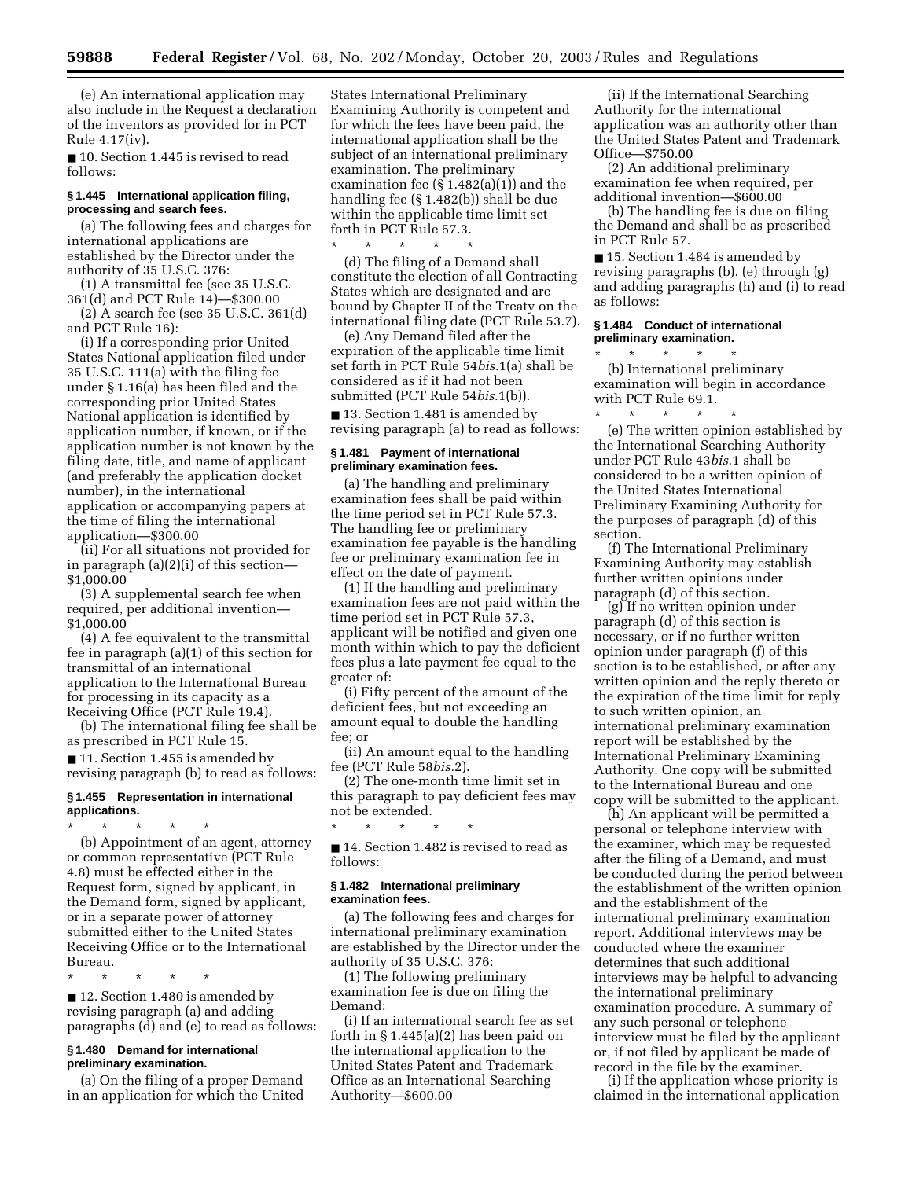(e) An international application may also include in the Request a declaration of the inventors as provided for in PCT Rule 4.17(iv).

■ 10. Section 1.445 is revised to read follows:

### **§ 1.445 International application filing, processing and search fees.**

(a) The following fees and charges for international applications are established by the Director under the authority of 35 U.S.C. 376:

(1) A transmittal fee (see 35 U.S.C. 361(d) and PCT Rule 14)—\$300.00

(2) A search fee (see 35 U.S.C. 361(d) and PCT Rule 16):

(i) If a corresponding prior United States National application filed under 35 U.S.C. 111(a) with the filing fee under § 1.16(a) has been filed and the corresponding prior United States National application is identified by application number, if known, or if the application number is not known by the filing date, title, and name of applicant (and preferably the application docket number), in the international application or accompanying papers at the time of filing the international application—\$300.00

(ii) For all situations not provided for in paragraph (a)(2)(i) of this section— \$1,000.00

(3) A supplemental search fee when required, per additional invention— \$1,000.00

(4) A fee equivalent to the transmittal fee in paragraph (a)(1) of this section for transmittal of an international application to the International Bureau for processing in its capacity as a Receiving Office (PCT Rule 19.4).

(b) The international filing fee shall be as prescribed in PCT Rule 15.

■ 11. Section 1.455 is amended by revising paragraph (b) to read as follows:

#### **§ 1.455 Representation in international applications.**

\* \* \* \* \* (b) Appointment of an agent, attorney or common representative (PCT Rule 4.8) must be effected either in the Request form, signed by applicant, in the Demand form, signed by applicant, or in a separate power of attorney submitted either to the United States Receiving Office or to the International Bureau.

\* \* \* \* \* ■ 12. Section 1.480 is amended by revising paragraph (a) and adding paragraphs (d) and (e) to read as follows:

#### **§ 1.480 Demand for international preliminary examination.**

(a) On the filing of a proper Demand in an application for which the United States International Preliminary Examining Authority is competent and for which the fees have been paid, the international application shall be the subject of an international preliminary examination. The preliminary examination fee (§ 1.482(a)(1)) and the handling fee (§ 1.482(b)) shall be due within the applicable time limit set forth in PCT Rule 57.3.

\* \* \* \* \*

(d) The filing of a Demand shall constitute the election of all Contracting States which are designated and are bound by Chapter II of the Treaty on the international filing date (PCT Rule 53.7).

(e) Any Demand filed after the expiration of the applicable time limit set forth in PCT Rule 54*bis*.1(a) shall be considered as if it had not been submitted (PCT Rule 54*bis*.1(b)).

■ 13. Section 1.481 is amended by revising paragraph (a) to read as follows:

#### **§ 1.481 Payment of international preliminary examination fees.**

(a) The handling and preliminary examination fees shall be paid within the time period set in PCT Rule 57.3. The handling fee or preliminary examination fee payable is the handling fee or preliminary examination fee in effect on the date of payment.

(1) If the handling and preliminary examination fees are not paid within the time period set in PCT Rule 57.3, applicant will be notified and given one month within which to pay the deficient fees plus a late payment fee equal to the greater of:

(i) Fifty percent of the amount of the deficient fees, but not exceeding an amount equal to double the handling fee; or

(ii) An amount equal to the handling fee (PCT Rule 58*bis.*2).

(2) The one-month time limit set in this paragraph to pay deficient fees may not be extended.

■ 14. Section 1.482 is revised to read as follows:

#### **§ 1.482 International preliminary examination fees.**

\* \* \* \* \*

(a) The following fees and charges for international preliminary examination are established by the Director under the authority of 35 U.S.C. 376:

(1) The following preliminary examination fee is due on filing the Demand:

(i) If an international search fee as set forth in § 1.445(a)(2) has been paid on the international application to the United States Patent and Trademark Office as an International Searching Authority—\$600.00

(ii) If the International Searching Authority for the international application was an authority other than the United States Patent and Trademark Office—\$750.00

(2) An additional preliminary examination fee when required, per additional invention—\$600.00

(b) The handling fee is due on filing the Demand and shall be as prescribed in PCT Rule 57.

■ 15. Section 1.484 is amended by revising paragraphs (b), (e) through (g) and adding paragraphs (h) and (i) to read as follows:

#### **§ 1.484 Conduct of international preliminary examination.**

\* \* \* \* \* (b) International preliminary examination will begin in accordance with PCT Rule 69.1. \* \* \* \* \*

(e) The written opinion established by the International Searching Authority under PCT Rule 43*bis*.1 shall be considered to be a written opinion of the United States International Preliminary Examining Authority for the purposes of paragraph (d) of this section.

(f) The International Preliminary Examining Authority may establish further written opinions under paragraph (d) of this section.

(g) If no written opinion under paragraph (d) of this section is necessary, or if no further written opinion under paragraph (f) of this section is to be established, or after any written opinion and the reply thereto or the expiration of the time limit for reply to such written opinion, an international preliminary examination report will be established by the International Preliminary Examining Authority. One copy will be submitted to the International Bureau and one copy will be submitted to the applicant.

(h) An applicant will be permitted a personal or telephone interview with the examiner, which may be requested after the filing of a Demand, and must be conducted during the period between the establishment of the written opinion and the establishment of the international preliminary examination report. Additional interviews may be conducted where the examiner determines that such additional interviews may be helpful to advancing the international preliminary examination procedure. A summary of any such personal or telephone interview must be filed by the applicant or, if not filed by applicant be made of record in the file by the examiner.

(i) If the application whose priority is claimed in the international application